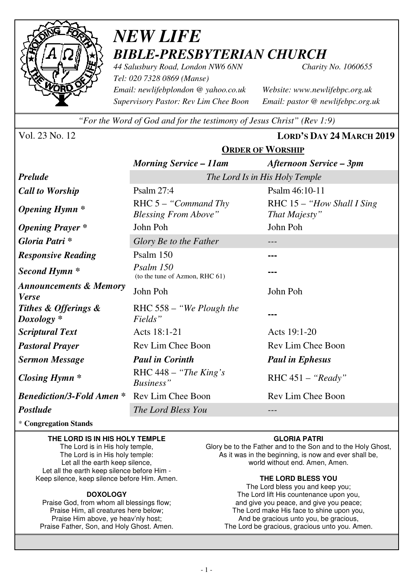

# *NEW LIFE BIBLE-PRESBYTERIAN CHURCH*

*44 Salusbury Road, London NW6 6NN Charity No. 1060655 Tel: 020 7328 0869 (Manse) Email: newlifebplondon @ yahoo.co.uk Website: www.newlifebpc.org.uk Supervisory Pastor: Rev Lim Chee Boon Email: pastor @ newlifebpc.org.uk* 

*"For the Word of God and for the testimony of Jesus Christ" (Rev 1:9)*

**ORDER OF WORSHIP**

Vol. 23 No. 12 **LORD'S DAY 24 MARCH 2019**

|                                                   | <b>ONDER OF TTORBILL</b>                               |                                             |  |
|---------------------------------------------------|--------------------------------------------------------|---------------------------------------------|--|
|                                                   | <b>Morning Service – 11am</b>                          | <b>Afternoon Service – 3pm</b>              |  |
| <b>Prelude</b>                                    | The Lord Is in His Holy Temple                         |                                             |  |
| <b>Call to Worship</b>                            | Psalm 27:4                                             | Psalm 46:10-11                              |  |
| <b>Opening Hymn</b> *                             | RHC $5 -$ "Command Thy"<br><b>Blessing From Above"</b> | RHC 15 - "How Shall I Sing<br>That Majesty" |  |
| <b>Opening Prayer</b> *                           | John Poh                                               | John Poh                                    |  |
| Gloria Patri *                                    | Glory Be to the Father                                 |                                             |  |
| <b>Responsive Reading</b>                         | Psalm 150                                              |                                             |  |
| Second Hymn <sup>*</sup>                          | Psalm 150<br>(to the tune of Azmon, RHC 61)            |                                             |  |
| <b>Announcements &amp; Memory</b><br><b>Verse</b> | John Poh                                               | John Poh                                    |  |
| Tithes & Offerings &<br>$Doxology *$              | RHC 558 – "We Plough the<br>Fields"                    |                                             |  |
| <b>Scriptural Text</b>                            | Acts 18:1-21                                           | Acts 19:1-20                                |  |
| <b>Pastoral Prayer</b>                            | Rev Lim Chee Boon                                      | Rev Lim Chee Boon                           |  |
| <b>Sermon Message</b>                             | <b>Paul in Corinth</b>                                 | <b>Paul in Ephesus</b>                      |  |
| <b>Closing Hymn</b> *                             | RHC $448 -$ "The King's"<br>Business"                  | RHC $451 - "Ready"$                         |  |
| <b>Benediction/3-Fold Amen *</b>                  | Rev Lim Chee Boon                                      | Rev Lim Chee Boon                           |  |
| Postlude                                          | The Lord Bless You                                     | $---$                                       |  |
|                                                   |                                                        |                                             |  |

\* **Congregation Stands** 

#### **THE LORD IS IN HIS HOLY TEMPLE**  The Lord is in His holy temple,

The Lord is in His holy temple: Let all the earth keep silence, Let all the earth keep silence before Him - Keep silence, keep silence before Him. Amen.

### **DOXOLOGY**

Praise God, from whom all blessings flow; Praise Him, all creatures here below; Praise Him above, ye heav'nly host; Praise Father, Son, and Holy Ghost. Amen.

### **GLORIA PATRI**

Glory be to the Father and to the Son and to the Holy Ghost, As it was in the beginning, is now and ever shall be, world without end. Amen, Amen.

### **THE LORD BLESS YOU**

The Lord bless you and keep you; The Lord lift His countenance upon you, and give you peace, and give you peace; The Lord make His face to shine upon you, And be gracious unto you, be gracious, The Lord be gracious, gracious unto you. Amen.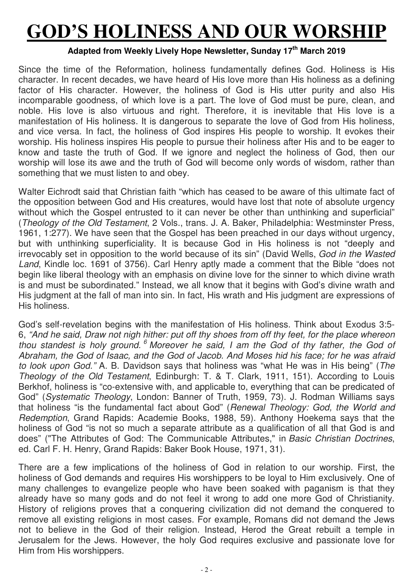# **GOD'S HOLINESS AND OUR WORSHIP**

### **Adapted from Weekly Lively Hope Newsletter, Sunday 17th March 2019**

Since the time of the Reformation, holiness fundamentally defines God. Holiness is His character. In recent decades, we have heard of His love more than His holiness as a defining factor of His character. However, the holiness of God is His utter purity and also His incomparable goodness, of which love is a part. The love of God must be pure, clean, and noble. His love is also virtuous and right. Therefore, it is inevitable that His love is a manifestation of His holiness. It is dangerous to separate the love of God from His holiness, and vice versa. In fact, the holiness of God inspires His people to worship. It evokes their worship. His holiness inspires His people to pursue their holiness after His and to be eager to know and taste the truth of God. If we ignore and neglect the holiness of God, then our worship will lose its awe and the truth of God will become only words of wisdom, rather than something that we must listen to and obey.

Walter Eichrodt said that Christian faith "which has ceased to be aware of this ultimate fact of the opposition between God and His creatures, would have lost that note of absolute urgency without which the Gospel entrusted to it can never be other than unthinking and superficial" (*Theology of the Old Testament*, 2 Vols., trans. J. A. Baker, Philadelphia: Westminster Press, 1961, 1:277). We have seen that the Gospel has been preached in our days without urgency, but with unthinking superficiality. It is because God in His holiness is not "deeply and irrevocably set in opposition to the world because of its sin" (David Wells, *God in the Wasted Land*, Kindle loc. 1691 of 3756). Carl Henry aptly made a comment that the Bible "does not begin like liberal theology with an emphasis on divine love for the sinner to which divine wrath is and must be subordinated." Instead, we all know that it begins with God's divine wrath and His judgment at the fall of man into sin. In fact, His wrath and His judgment are expressions of His holiness.

God's self-revelation begins with the manifestation of His holiness. Think about Exodus 3:5- 6, *"And he said, Draw not nigh hither: put off thy shoes from off thy feet, for the place whereon*  thou standest is holy ground. <sup>6</sup> Moreover he said, I am the God of thy father, the God of *Abraham, the God of Isaac, and the God of Jacob. And Moses hid his face; for he was afraid to look upon God."* A. B. Davidson says that holiness was "what He was in His being" (*The Theology of the Old Testament*, Edinburgh: T. & T. Clark, 1911, 151). According to Louis Berkhof, holiness is "co-extensive with, and applicable to, everything that can be predicated of God" (*Systematic Theology*, London: Banner of Truth, 1959, 73). J. Rodman Williams says that holiness "is the fundamental fact about God" (*Renewal Theology: God, the World and Redemption*, Grand Rapids: Academie Books, 1988, 59). Anthony Hoekema says that the holiness of God "is not so much a separate attribute as a qualification of all that God is and does" ("The Attributes of God: The Communicable Attributes," in *Basic Christian Doctrines*, ed. Carl F. H. Henry, Grand Rapids: Baker Book House, 1971, 31).

There are a few implications of the holiness of God in relation to our worship. First, the holiness of God demands and requires His worshippers to be loyal to Him exclusively. One of many challenges to evangelize people who have been soaked with paganism is that they already have so many gods and do not feel it wrong to add one more God of Christianity. History of religions proves that a conquering civilization did not demand the conquered to remove all existing religions in most cases. For example, Romans did not demand the Jews not to believe in the God of their religion. Instead, Herod the Great rebuilt a temple in Jerusalem for the Jews. However, the holy God requires exclusive and passionate love for Him from His worshippers.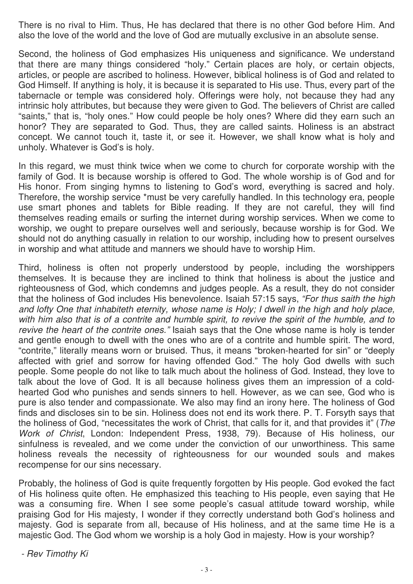There is no rival to Him. Thus, He has declared that there is no other God before Him. And also the love of the world and the love of God are mutually exclusive in an absolute sense.

Second, the holiness of God emphasizes His uniqueness and significance. We understand that there are many things considered "holy." Certain places are holy, or certain objects, articles, or people are ascribed to holiness. However, biblical holiness is of God and related to God Himself. If anything is holy, it is because it is separated to His use. Thus, every part of the tabernacle or temple was considered holy. Offerings were holy, not because they had any intrinsic holy attributes, but because they were given to God. The believers of Christ are called "saints," that is, "holy ones." How could people be holy ones? Where did they earn such an honor? They are separated to God. Thus, they are called saints. Holiness is an abstract concept. We cannot touch it, taste it, or see it. However, we shall know what is holy and unholy. Whatever is God's is holy.

In this regard, we must think twice when we come to church for corporate worship with the family of God. It is because worship is offered to God. The whole worship is of God and for His honor. From singing hymns to listening to God's word, everything is sacred and holy. Therefore, the worship service \*must be very carefully handled. In this technology era, people use smart phones and tablets for Bible reading. If they are not careful, they will find themselves reading emails or surfing the internet during worship services. When we come to worship, we ought to prepare ourselves well and seriously, because worship is for God. We should not do anything casually in relation to our worship, including how to present ourselves in worship and what attitude and manners we should have to worship Him.

Third, holiness is often not properly understood by people, including the worshippers themselves. It is because they are inclined to think that holiness is about the justice and righteousness of God, which condemns and judges people. As a result, they do not consider that the holiness of God includes His benevolence. Isaiah 57:15 says, *"For thus saith the high and lofty One that inhabiteth eternity, whose name is Holy; I dwell in the high and holy place, with him also that is of a contrite and humble spirit, to revive the spirit of the humble, and to revive the heart of the contrite ones."* Isaiah says that the One whose name is holy is tender and gentle enough to dwell with the ones who are of a contrite and humble spirit. The word, "contrite," literally means worn or bruised. Thus, it means "broken-hearted for sin" or "deeply affected with grief and sorrow for having offended God." The holy God dwells with such people. Some people do not like to talk much about the holiness of God. Instead, they love to talk about the love of God. It is all because holiness gives them an impression of a coldhearted God who punishes and sends sinners to hell. However, as we can see, God who is pure is also tender and compassionate. We also may find an irony here. The holiness of God finds and discloses sin to be sin. Holiness does not end its work there. P. T. Forsyth says that the holiness of God, "necessitates the work of Christ, that calls for it, and that provides it" (*The Work of Christ*, London: Independent Press, 1938, 79). Because of His holiness, our sinfulness is revealed, and we come under the conviction of our unworthiness. This same holiness reveals the necessity of righteousness for our wounded souls and makes recompense for our sins necessary.

Probably, the holiness of God is quite frequently forgotten by His people. God evoked the fact of His holiness quite often. He emphasized this teaching to His people, even saying that He was a consuming fire. When I see some people's casual attitude toward worship, while praising God for His majesty, I wonder if they correctly understand both God's holiness and majesty. God is separate from all, because of His holiness, and at the same time He is a majestic God. The God whom we worship is a holy God in majesty. How is your worship?

*- Rev Timothy Ki*